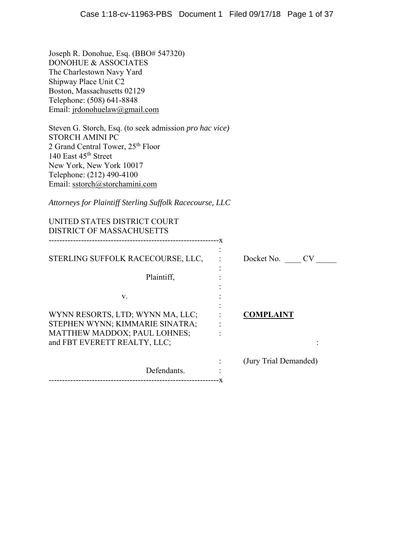Joseph R. Donohue, Esq. (BBO# 547320) DONOHUE & ASSOCIATES The Charlestown Navy Yard Shipway Place Unit C2 Boston, Massachusetts 02129 Telephone: (508) 641-8848 Email: jrdonohuelaw@gmail.com

Steven G. Storch, Esq. (to seek admission *pro hac vice)*  STORCH AMINI PC 2 Grand Central Tower, 25th Floor 140 East 45<sup>th</sup> Street New York, New York 10017 Telephone: (212) 490-4100 Email: sstorch@storchamini.com

*Attorneys for Plaintiff Sterling Suffolk Racecourse, LLC*

| UNITED STATES DISTRICT COURT<br><b>DISTRICT OF MASSACHUSETTS</b>                                |                       |
|-------------------------------------------------------------------------------------------------|-----------------------|
|                                                                                                 |                       |
| STERLING SUFFOLK RACECOURSE, LLC,                                                               | Docket No. CV         |
| Plaintiff,                                                                                      |                       |
| V.                                                                                              |                       |
| WYNN RESORTS, LTD; WYNN MA, LLC;                                                                | <b>COMPLAINT</b>      |
| STEPHEN WYNN; KIMMARIE SINATRA;<br>MATTHEW MADDOX; PAUL LOHNES;<br>and FBT EVERETT REALTY, LLC; |                       |
| Defendants.                                                                                     | (Jury Trial Demanded) |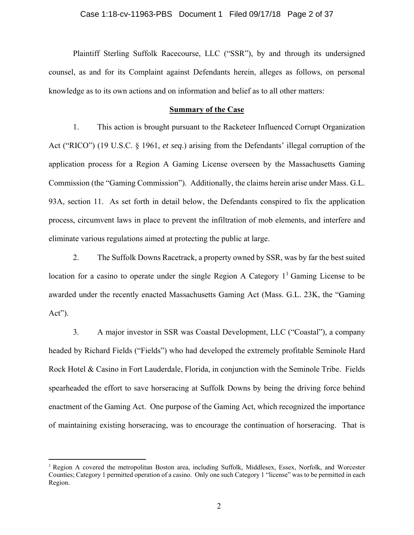# Case 1:18-cv-11963-PBS Document 1 Filed 09/17/18 Page 2 of 37

Plaintiff Sterling Suffolk Racecourse, LLC ("SSR"), by and through its undersigned counsel, as and for its Complaint against Defendants herein, alleges as follows, on personal knowledge as to its own actions and on information and belief as to all other matters:

## **Summary of the Case**

1. This action is brought pursuant to the Racketeer Influenced Corrupt Organization Act ("RICO") (19 U.S.C. § 1961, *et seq*.) arising from the Defendants' illegal corruption of the application process for a Region A Gaming License overseen by the Massachusetts Gaming Commission (the "Gaming Commission"). Additionally, the claims herein arise under Mass. G.L. 93A, section 11. As set forth in detail below, the Defendants conspired to fix the application process, circumvent laws in place to prevent the infiltration of mob elements, and interfere and eliminate various regulations aimed at protecting the public at large.

2. The Suffolk Downs Racetrack, a property owned by SSR, was by far the best suited location for a casino to operate under the single Region A Category  $1^1$  Gaming License to be awarded under the recently enacted Massachusetts Gaming Act (Mass. G.L. 23K, the "Gaming Act").

3. A major investor in SSR was Coastal Development, LLC ("Coastal"), a company headed by Richard Fields ("Fields") who had developed the extremely profitable Seminole Hard Rock Hotel & Casino in Fort Lauderdale, Florida, in conjunction with the Seminole Tribe. Fields spearheaded the effort to save horseracing at Suffolk Downs by being the driving force behind enactment of the Gaming Act. One purpose of the Gaming Act, which recognized the importance of maintaining existing horseracing, was to encourage the continuation of horseracing. That is

 $1$  Region A covered the metropolitan Boston area, including Suffolk, Middlesex, Essex, Norfolk, and Worcester Counties; Category 1 permitted operation of a casino. Only one such Category 1 "license" was to be permitted in each Region.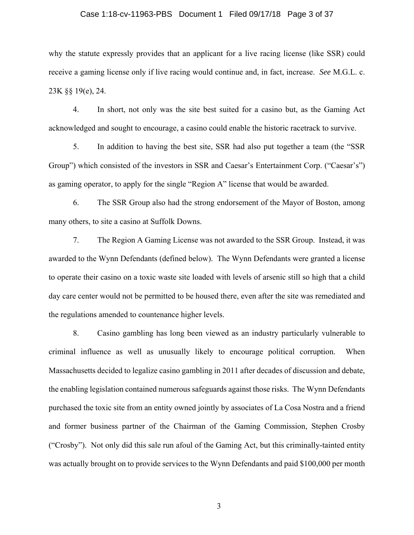## Case 1:18-cv-11963-PBS Document 1 Filed 09/17/18 Page 3 of 37

why the statute expressly provides that an applicant for a live racing license (like SSR) could receive a gaming license only if live racing would continue and, in fact, increase. *See* M.G.L. c. 23K §§ 19(e), 24.

4. In short, not only was the site best suited for a casino but, as the Gaming Act acknowledged and sought to encourage, a casino could enable the historic racetrack to survive.

5. In addition to having the best site, SSR had also put together a team (the "SSR Group") which consisted of the investors in SSR and Caesar's Entertainment Corp. ("Caesar's") as gaming operator, to apply for the single "Region A" license that would be awarded.

6. The SSR Group also had the strong endorsement of the Mayor of Boston, among many others, to site a casino at Suffolk Downs.

7. The Region A Gaming License was not awarded to the SSR Group. Instead, it was awarded to the Wynn Defendants (defined below). The Wynn Defendants were granted a license to operate their casino on a toxic waste site loaded with levels of arsenic still so high that a child day care center would not be permitted to be housed there, even after the site was remediated and the regulations amended to countenance higher levels.

8. Casino gambling has long been viewed as an industry particularly vulnerable to criminal influence as well as unusually likely to encourage political corruption. When Massachusetts decided to legalize casino gambling in 2011 after decades of discussion and debate, the enabling legislation contained numerous safeguards against those risks. The Wynn Defendants purchased the toxic site from an entity owned jointly by associates of La Cosa Nostra and a friend and former business partner of the Chairman of the Gaming Commission, Stephen Crosby ("Crosby"). Not only did this sale run afoul of the Gaming Act, but this criminally-tainted entity was actually brought on to provide services to the Wynn Defendants and paid \$100,000 per month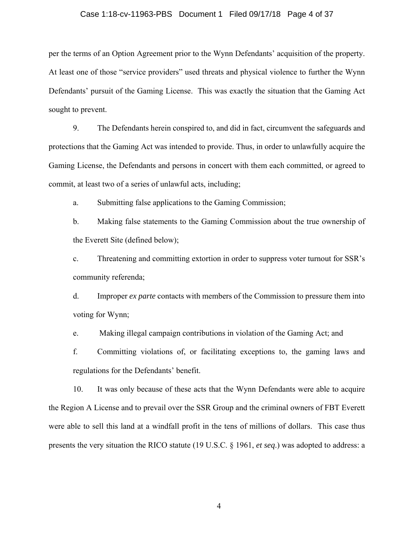## Case 1:18-cv-11963-PBS Document 1 Filed 09/17/18 Page 4 of 37

per the terms of an Option Agreement prior to the Wynn Defendants' acquisition of the property. At least one of those "service providers" used threats and physical violence to further the Wynn Defendants' pursuit of the Gaming License. This was exactly the situation that the Gaming Act sought to prevent.

9. The Defendants herein conspired to, and did in fact, circumvent the safeguards and protections that the Gaming Act was intended to provide. Thus, in order to unlawfully acquire the Gaming License, the Defendants and persons in concert with them each committed, or agreed to commit, at least two of a series of unlawful acts, including;

a. Submitting false applications to the Gaming Commission;

b. Making false statements to the Gaming Commission about the true ownership of the Everett Site (defined below);

c. Threatening and committing extortion in order to suppress voter turnout for SSR's community referenda;

d. Improper *ex parte* contacts with members of the Commission to pressure them into voting for Wynn;

e. Making illegal campaign contributions in violation of the Gaming Act; and

f. Committing violations of, or facilitating exceptions to, the gaming laws and regulations for the Defendants' benefit.

10. It was only because of these acts that the Wynn Defendants were able to acquire the Region A License and to prevail over the SSR Group and the criminal owners of FBT Everett were able to sell this land at a windfall profit in the tens of millions of dollars. This case thus presents the very situation the RICO statute (19 U.S.C. § 1961, *et seq*.) was adopted to address: a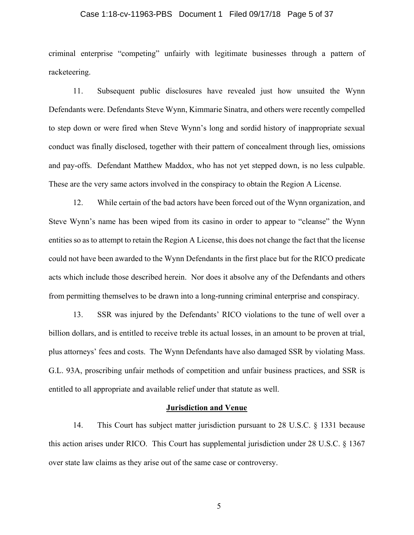# Case 1:18-cv-11963-PBS Document 1 Filed 09/17/18 Page 5 of 37

criminal enterprise "competing" unfairly with legitimate businesses through a pattern of racketeering.

11. Subsequent public disclosures have revealed just how unsuited the Wynn Defendants were. Defendants Steve Wynn, Kimmarie Sinatra, and others were recently compelled to step down or were fired when Steve Wynn's long and sordid history of inappropriate sexual conduct was finally disclosed, together with their pattern of concealment through lies, omissions and pay-offs. Defendant Matthew Maddox, who has not yet stepped down, is no less culpable. These are the very same actors involved in the conspiracy to obtain the Region A License.

12. While certain of the bad actors have been forced out of the Wynn organization, and Steve Wynn's name has been wiped from its casino in order to appear to "cleanse" the Wynn entities so as to attempt to retain the Region A License, this does not change the fact that the license could not have been awarded to the Wynn Defendants in the first place but for the RICO predicate acts which include those described herein. Nor does it absolve any of the Defendants and others from permitting themselves to be drawn into a long-running criminal enterprise and conspiracy.

13. SSR was injured by the Defendants' RICO violations to the tune of well over a billion dollars, and is entitled to receive treble its actual losses, in an amount to be proven at trial, plus attorneys' fees and costs. The Wynn Defendants have also damaged SSR by violating Mass. G.L. 93A, proscribing unfair methods of competition and unfair business practices, and SSR is entitled to all appropriate and available relief under that statute as well.

### **Jurisdiction and Venue**

14. This Court has subject matter jurisdiction pursuant to 28 U.S.C. § 1331 because this action arises under RICO. This Court has supplemental jurisdiction under 28 U.S.C. § 1367 over state law claims as they arise out of the same case or controversy.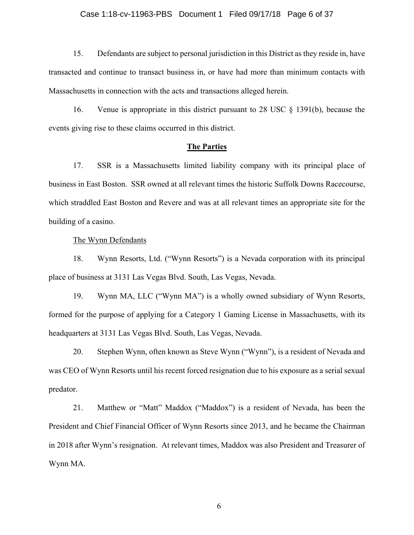## Case 1:18-cv-11963-PBS Document 1 Filed 09/17/18 Page 6 of 37

15. Defendants are subject to personal jurisdiction in this District as they reside in, have transacted and continue to transact business in, or have had more than minimum contacts with Massachusetts in connection with the acts and transactions alleged herein.

16. Venue is appropriate in this district pursuant to 28 USC § 1391(b), because the events giving rise to these claims occurred in this district.

## **The Parties**

17. SSR is a Massachusetts limited liability company with its principal place of business in East Boston. SSR owned at all relevant times the historic Suffolk Downs Racecourse, which straddled East Boston and Revere and was at all relevant times an appropriate site for the building of a casino.

## The Wynn Defendants

18. Wynn Resorts, Ltd. ("Wynn Resorts") is a Nevada corporation with its principal place of business at 3131 Las Vegas Blvd. South, Las Vegas, Nevada.

19. Wynn MA, LLC ("Wynn MA") is a wholly owned subsidiary of Wynn Resorts, formed for the purpose of applying for a Category 1 Gaming License in Massachusetts, with its headquarters at 3131 Las Vegas Blvd. South, Las Vegas, Nevada.

20. Stephen Wynn, often known as Steve Wynn ("Wynn"), is a resident of Nevada and was CEO of Wynn Resorts until his recent forced resignation due to his exposure as a serial sexual predator.

21. Matthew or "Matt" Maddox ("Maddox") is a resident of Nevada, has been the President and Chief Financial Officer of Wynn Resorts since 2013, and he became the Chairman in 2018 after Wynn's resignation. At relevant times, Maddox was also President and Treasurer of Wynn MA.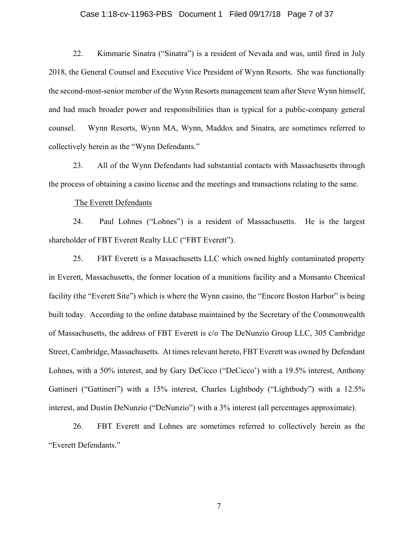## Case 1:18-cv-11963-PBS Document 1 Filed 09/17/18 Page 7 of 37

22. Kimmarie Sinatra ("Sinatra") is a resident of Nevada and was, until fired in July 2018, the General Counsel and Executive Vice President of Wynn Resorts. She was functionally the second-most-senior member of the Wynn Resorts management team after Steve Wynn himself, and had much broader power and responsibilities than is typical for a public-company general counsel. Wynn Resorts, Wynn MA, Wynn, Maddox and Sinatra, are sometimes referred to collectively herein as the "Wynn Defendants."

23. All of the Wynn Defendants had substantial contacts with Massachusetts through the process of obtaining a casino license and the meetings and transactions relating to the same.

## The Everett Defendants

24. Paul Lohnes ("Lohnes") is a resident of Massachusetts. He is the largest shareholder of FBT Everett Realty LLC ("FBT Everett").

25. FBT Everett is a Massachusetts LLC which owned highly contaminated property in Everett, Massachusetts, the former location of a munitions facility and a Monsanto Chemical facility (the "Everett Site") which is where the Wynn casino, the "Encore Boston Harbor" is being built today. According to the online database maintained by the Secretary of the Commonwealth of Massachusetts, the address of FBT Everett is c/o The DeNunzio Group LLC, 305 Cambridge Street, Cambridge, Massachusetts. At times relevant hereto, FBT Everett was owned by Defendant Lohnes, with a 50% interest, and by Gary DeCicco ("DeCicco') with a 19.5% interest, Anthony Gattineri ("Gattineri") with a 15% interest, Charles Lightbody ("Lightbody") with a 12.5% interest, and Dustin DeNunzio ("DeNunzio") with a 3% interest (all percentages approximate).

26. FBT Everett and Lohnes are sometimes referred to collectively herein as the "Everett Defendants."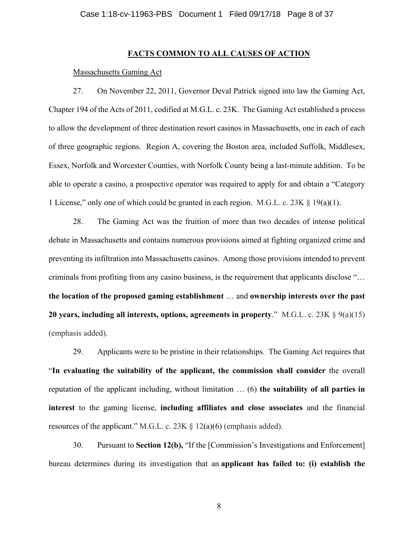## **FACTS COMMON TO ALL CAUSES OF ACTION**

## Massachusetts Gaming Act

27. On November 22, 2011, Governor Deval Patrick signed into law the Gaming Act, Chapter 194 of the Acts of 2011, codified at M.G.L. c. 23K. The Gaming Act established a process to allow the development of three destination resort casinos in Massachusetts, one in each of each of three geographic regions. Region A, covering the Boston area, included Suffolk, Middlesex, Essex, Norfolk and Worcester Counties, with Norfolk County being a last-minute addition. To be able to operate a casino, a prospective operator was required to apply for and obtain a "Category 1 License," only one of which could be granted in each region. M.G.L. c. 23K § 19(a)(1).

28. The Gaming Act was the fruition of more than two decades of intense political debate in Massachusetts and contains numerous provisions aimed at fighting organized crime and preventing its infiltration into Massachusetts casinos. Among those provisions intended to prevent criminals from profiting from any casino business, is the requirement that applicants disclose "… **the location of the proposed gaming establishment** … and **ownership interests over the past 20 years, including all interests, options, agreements in property**." M.G.L. c. 23K § 9(a)(15) (emphasis added).

29. Applicants were to be pristine in their relationships. The Gaming Act requires that "**In evaluating the suitability of the applicant, the commission shall consider** the overall reputation of the applicant including, without limitation … (6) **the suitability of all parties in interest** to the gaming license, **including affiliates and close associates** and the financial resources of the applicant." M.G.L. c. 23K  $\S$  12(a)(6) (emphasis added).

30. Pursuant to **Section 12(b),** "If the [Commission's Investigations and Enforcement] bureau determines during its investigation that an **applicant has failed to: (i) establish the**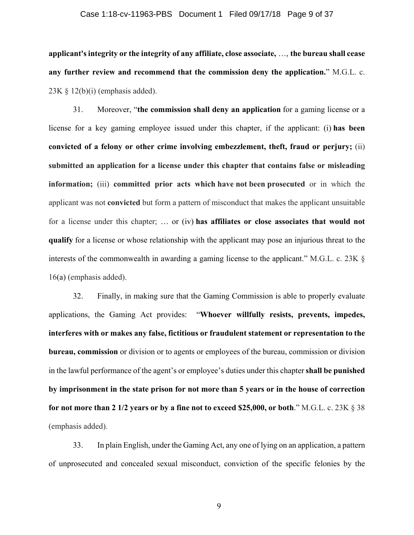#### Case 1:18-cv-11963-PBS Document 1 Filed 09/17/18 Page 9 of 37

**applicant's integrity or the integrity of any affiliate, close associate,** …, **the bureau shall cease any further review and recommend that the commission deny the application.**" M.G.L. c.  $23K \S 12(b)(i)$  (emphasis added).

31. Moreover, "**the commission shall deny an application** for a gaming license or a license for a key gaming employee issued under this chapter, if the applicant: (i) **has been convicted of a felony or other crime involving embezzlement, theft, fraud or perjury;** (ii) **submitted an application for a license under this chapter that contains false or misleading information;** (iii) **committed prior acts which have not been prosecuted** or in which the applicant was not **convicted** but form a pattern of misconduct that makes the applicant unsuitable for a license under this chapter; … or (iv) **has affiliates or close associates that would not qualify** for a license or whose relationship with the applicant may pose an injurious threat to the interests of the commonwealth in awarding a gaming license to the applicant." M.G.L. c. 23K § 16(a) (emphasis added).

32. Finally, in making sure that the Gaming Commission is able to properly evaluate applications, the Gaming Act provides: "**Whoever willfully resists, prevents, impedes, interferes with or makes any false, fictitious or fraudulent statement or representation to the bureau, commission** or division or to agents or employees of the bureau, commission or division in the lawful performance of the agent's or employee's duties under this chapter **shall be punished by imprisonment in the state prison for not more than 5 years or in the house of correction for not more than 2 1/2 years or by a fine not to exceed \$25,000, or both**." M.G.L. c. 23K § 38 (emphasis added).

33. In plain English, under the Gaming Act, any one of lying on an application, a pattern of unprosecuted and concealed sexual misconduct, conviction of the specific felonies by the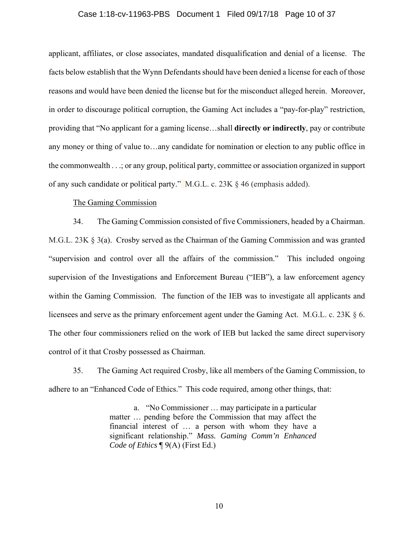## Case 1:18-cv-11963-PBS Document 1 Filed 09/17/18 Page 10 of 37

applicant, affiliates, or close associates, mandated disqualification and denial of a license. The facts below establish that the Wynn Defendants should have been denied a license for each of those reasons and would have been denied the license but for the misconduct alleged herein. Moreover, in order to discourage political corruption, the Gaming Act includes a "pay-for-play" restriction, providing that "No applicant for a gaming license…shall **directly or indirectly**, pay or contribute any money or thing of value to…any candidate for nomination or election to any public office in the commonwealth . . .; or any group, political party, committee or association organized in support of any such candidate or political party." M.G.L. c. 23K § 46 (emphasis added).

## The Gaming Commission

34. The Gaming Commission consisted of five Commissioners, headed by a Chairman. M.G.L. 23K § 3(a). Crosby served as the Chairman of the Gaming Commission and was granted "supervision and control over all the affairs of the commission." This included ongoing supervision of the Investigations and Enforcement Bureau ("IEB"), a law enforcement agency within the Gaming Commission. The function of the IEB was to investigate all applicants and licensees and serve as the primary enforcement agent under the Gaming Act. M.G.L. c. 23K § 6. The other four commissioners relied on the work of IEB but lacked the same direct supervisory control of it that Crosby possessed as Chairman.

35. The Gaming Act required Crosby, like all members of the Gaming Commission, to adhere to an "Enhanced Code of Ethics." This code required, among other things, that:

> a. "No Commissioner … may participate in a particular matter … pending before the Commission that may affect the financial interest of … a person with whom they have a significant relationship." *Mass. Gaming Comm'n Enhanced Code of Ethics* ¶ 9(A) (First Ed.)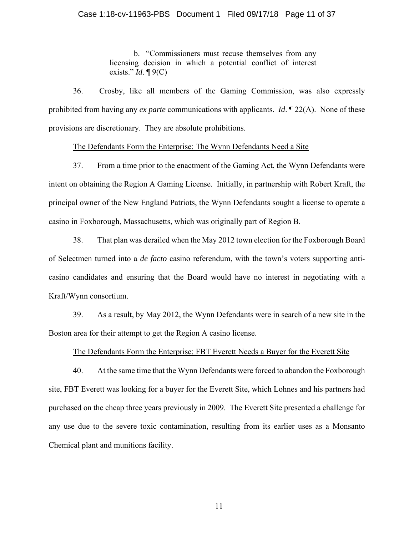## Case 1:18-cv-11963-PBS Document 1 Filed 09/17/18 Page 11 of 37

b. "Commissioners must recuse themselves from any licensing decision in which a potential conflict of interest exists." *Id*. ¶ 9(C)

36. Crosby, like all members of the Gaming Commission, was also expressly prohibited from having any *ex parte* communications with applicants. *Id*. ¶ 22(A). None of these provisions are discretionary. They are absolute prohibitions.

## The Defendants Form the Enterprise: The Wynn Defendants Need a Site

37. From a time prior to the enactment of the Gaming Act, the Wynn Defendants were intent on obtaining the Region A Gaming License. Initially, in partnership with Robert Kraft, the principal owner of the New England Patriots, the Wynn Defendants sought a license to operate a casino in Foxborough, Massachusetts, which was originally part of Region B.

38. That plan was derailed when the May 2012 town election for the Foxborough Board of Selectmen turned into a *de facto* casino referendum, with the town's voters supporting anticasino candidates and ensuring that the Board would have no interest in negotiating with a Kraft/Wynn consortium.

39. As a result, by May 2012, the Wynn Defendants were in search of a new site in the Boston area for their attempt to get the Region A casino license.

### The Defendants Form the Enterprise: FBT Everett Needs a Buyer for the Everett Site

40. At the same time that the Wynn Defendants were forced to abandon the Foxborough site, FBT Everett was looking for a buyer for the Everett Site, which Lohnes and his partners had purchased on the cheap three years previously in 2009. The Everett Site presented a challenge for any use due to the severe toxic contamination, resulting from its earlier uses as a Monsanto Chemical plant and munitions facility.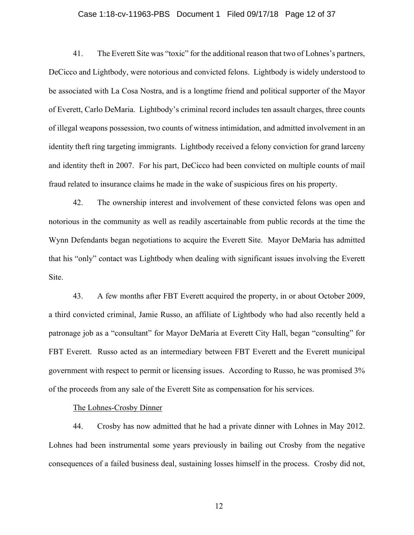## Case 1:18-cv-11963-PBS Document 1 Filed 09/17/18 Page 12 of 37

41. The Everett Site was "toxic" for the additional reason that two of Lohnes's partners, DeCicco and Lightbody, were notorious and convicted felons. Lightbody is widely understood to be associated with La Cosa Nostra, and is a longtime friend and political supporter of the Mayor of Everett, Carlo DeMaria. Lightbody's criminal record includes ten assault charges, three counts of illegal weapons possession, two counts of witness intimidation, and admitted involvement in an identity theft ring targeting immigrants. Lightbody received a felony conviction for grand larceny and identity theft in 2007. For his part, DeCicco had been convicted on multiple counts of mail fraud related to insurance claims he made in the wake of suspicious fires on his property.

42. The ownership interest and involvement of these convicted felons was open and notorious in the community as well as readily ascertainable from public records at the time the Wynn Defendants began negotiations to acquire the Everett Site. Mayor DeMaria has admitted that his "only" contact was Lightbody when dealing with significant issues involving the Everett Site.

43. A few months after FBT Everett acquired the property, in or about October 2009, a third convicted criminal, Jamie Russo, an affiliate of Lightbody who had also recently held a patronage job as a "consultant" for Mayor DeMaria at Everett City Hall, began "consulting" for FBT Everett. Russo acted as an intermediary between FBT Everett and the Everett municipal government with respect to permit or licensing issues. According to Russo, he was promised 3% of the proceeds from any sale of the Everett Site as compensation for his services.

The Lohnes-Crosby Dinner

44. Crosby has now admitted that he had a private dinner with Lohnes in May 2012. Lohnes had been instrumental some years previously in bailing out Crosby from the negative consequences of a failed business deal, sustaining losses himself in the process. Crosby did not,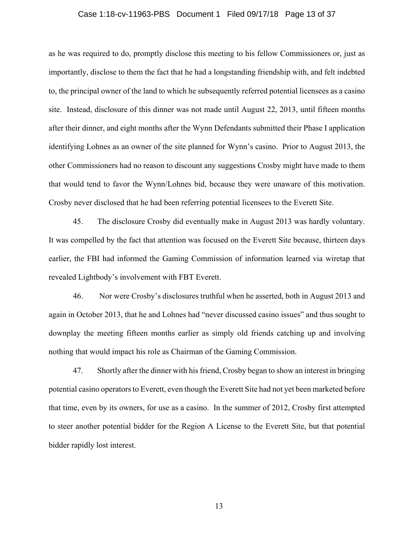## Case 1:18-cv-11963-PBS Document 1 Filed 09/17/18 Page 13 of 37

as he was required to do, promptly disclose this meeting to his fellow Commissioners or, just as importantly, disclose to them the fact that he had a longstanding friendship with, and felt indebted to, the principal owner of the land to which he subsequently referred potential licensees as a casino site. Instead, disclosure of this dinner was not made until August 22, 2013, until fifteen months after their dinner, and eight months after the Wynn Defendants submitted their Phase I application identifying Lohnes as an owner of the site planned for Wynn's casino. Prior to August 2013, the other Commissioners had no reason to discount any suggestions Crosby might have made to them that would tend to favor the Wynn/Lohnes bid, because they were unaware of this motivation. Crosby never disclosed that he had been referring potential licensees to the Everett Site.

45. The disclosure Crosby did eventually make in August 2013 was hardly voluntary. It was compelled by the fact that attention was focused on the Everett Site because, thirteen days earlier, the FBI had informed the Gaming Commission of information learned via wiretap that revealed Lightbody's involvement with FBT Everett.

46. Nor were Crosby's disclosures truthful when he asserted, both in August 2013 and again in October 2013, that he and Lohnes had "never discussed casino issues" and thus sought to downplay the meeting fifteen months earlier as simply old friends catching up and involving nothing that would impact his role as Chairman of the Gaming Commission.

47. Shortly after the dinner with his friend, Crosby began to show an interest in bringing potential casino operators to Everett, even though the Everett Site had not yet been marketed before that time, even by its owners, for use as a casino. In the summer of 2012, Crosby first attempted to steer another potential bidder for the Region A License to the Everett Site, but that potential bidder rapidly lost interest.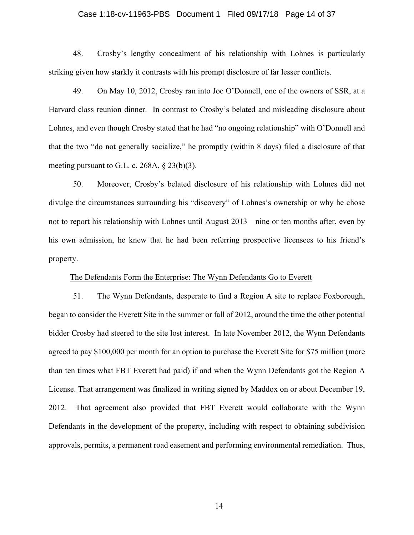## Case 1:18-cv-11963-PBS Document 1 Filed 09/17/18 Page 14 of 37

48. Crosby's lengthy concealment of his relationship with Lohnes is particularly striking given how starkly it contrasts with his prompt disclosure of far lesser conflicts.

49. On May 10, 2012, Crosby ran into Joe O'Donnell, one of the owners of SSR, at a Harvard class reunion dinner. In contrast to Crosby's belated and misleading disclosure about Lohnes, and even though Crosby stated that he had "no ongoing relationship" with O'Donnell and that the two "do not generally socialize," he promptly (within 8 days) filed a disclosure of that meeting pursuant to G.L. c. 268A, § 23(b)(3).

50. Moreover, Crosby's belated disclosure of his relationship with Lohnes did not divulge the circumstances surrounding his "discovery" of Lohnes's ownership or why he chose not to report his relationship with Lohnes until August 2013—nine or ten months after, even by his own admission, he knew that he had been referring prospective licensees to his friend's property.

## The Defendants Form the Enterprise: The Wynn Defendants Go to Everett

51. The Wynn Defendants, desperate to find a Region A site to replace Foxborough, began to consider the Everett Site in the summer or fall of 2012, around the time the other potential bidder Crosby had steered to the site lost interest. In late November 2012, the Wynn Defendants agreed to pay \$100,000 per month for an option to purchase the Everett Site for \$75 million (more than ten times what FBT Everett had paid) if and when the Wynn Defendants got the Region A License. That arrangement was finalized in writing signed by Maddox on or about December 19, 2012. That agreement also provided that FBT Everett would collaborate with the Wynn Defendants in the development of the property, including with respect to obtaining subdivision approvals, permits, a permanent road easement and performing environmental remediation. Thus,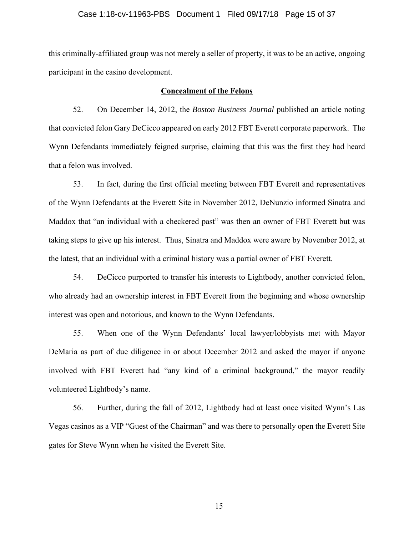## Case 1:18-cv-11963-PBS Document 1 Filed 09/17/18 Page 15 of 37

this criminally-affiliated group was not merely a seller of property, it was to be an active, ongoing participant in the casino development.

## **Concealment of the Felons**

52. On December 14, 2012, the *Boston Business Journal* published an article noting that convicted felon Gary DeCicco appeared on early 2012 FBT Everett corporate paperwork. The Wynn Defendants immediately feigned surprise, claiming that this was the first they had heard that a felon was involved.

53. In fact, during the first official meeting between FBT Everett and representatives of the Wynn Defendants at the Everett Site in November 2012, DeNunzio informed Sinatra and Maddox that "an individual with a checkered past" was then an owner of FBT Everett but was taking steps to give up his interest. Thus, Sinatra and Maddox were aware by November 2012, at the latest, that an individual with a criminal history was a partial owner of FBT Everett.

54. DeCicco purported to transfer his interests to Lightbody, another convicted felon, who already had an ownership interest in FBT Everett from the beginning and whose ownership interest was open and notorious, and known to the Wynn Defendants.

55. When one of the Wynn Defendants' local lawyer/lobbyists met with Mayor DeMaria as part of due diligence in or about December 2012 and asked the mayor if anyone involved with FBT Everett had "any kind of a criminal background," the mayor readily volunteered Lightbody's name.

56. Further, during the fall of 2012, Lightbody had at least once visited Wynn's Las Vegas casinos as a VIP "Guest of the Chairman" and was there to personally open the Everett Site gates for Steve Wynn when he visited the Everett Site.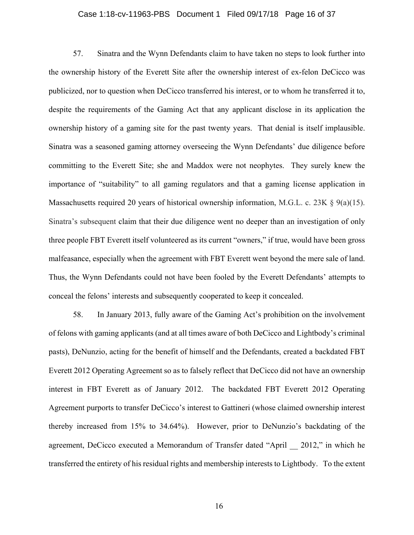## Case 1:18-cv-11963-PBS Document 1 Filed 09/17/18 Page 16 of 37

57. Sinatra and the Wynn Defendants claim to have taken no steps to look further into the ownership history of the Everett Site after the ownership interest of ex-felon DeCicco was publicized, nor to question when DeCicco transferred his interest, or to whom he transferred it to, despite the requirements of the Gaming Act that any applicant disclose in its application the ownership history of a gaming site for the past twenty years. That denial is itself implausible. Sinatra was a seasoned gaming attorney overseeing the Wynn Defendants' due diligence before committing to the Everett Site; she and Maddox were not neophytes. They surely knew the importance of "suitability" to all gaming regulators and that a gaming license application in Massachusetts required 20 years of historical ownership information, M.G.L. c. 23K  $\S$  9(a)(15). Sinatra's subsequent claim that their due diligence went no deeper than an investigation of only three people FBT Everett itself volunteered as its current "owners," if true, would have been gross malfeasance, especially when the agreement with FBT Everett went beyond the mere sale of land. Thus, the Wynn Defendants could not have been fooled by the Everett Defendants' attempts to conceal the felons' interests and subsequently cooperated to keep it concealed.

58. In January 2013, fully aware of the Gaming Act's prohibition on the involvement of felons with gaming applicants (and at all times aware of both DeCicco and Lightbody's criminal pasts), DeNunzio, acting for the benefit of himself and the Defendants, created a backdated FBT Everett 2012 Operating Agreement so as to falsely reflect that DeCicco did not have an ownership interest in FBT Everett as of January 2012. The backdated FBT Everett 2012 Operating Agreement purports to transfer DeCicco's interest to Gattineri (whose claimed ownership interest thereby increased from 15% to 34.64%). However, prior to DeNunzio's backdating of the agreement, DeCicco executed a Memorandum of Transfer dated "April \_\_ 2012," in which he transferred the entirety of his residual rights and membership interests to Lightbody. To the extent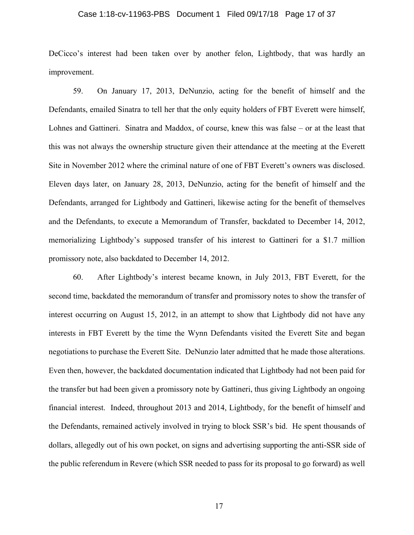## Case 1:18-cv-11963-PBS Document 1 Filed 09/17/18 Page 17 of 37

DeCicco's interest had been taken over by another felon, Lightbody, that was hardly an improvement.

59. On January 17, 2013, DeNunzio, acting for the benefit of himself and the Defendants, emailed Sinatra to tell her that the only equity holders of FBT Everett were himself, Lohnes and Gattineri. Sinatra and Maddox, of course, knew this was false – or at the least that this was not always the ownership structure given their attendance at the meeting at the Everett Site in November 2012 where the criminal nature of one of FBT Everett's owners was disclosed. Eleven days later, on January 28, 2013, DeNunzio, acting for the benefit of himself and the Defendants, arranged for Lightbody and Gattineri, likewise acting for the benefit of themselves and the Defendants, to execute a Memorandum of Transfer, backdated to December 14, 2012, memorializing Lightbody's supposed transfer of his interest to Gattineri for a \$1.7 million promissory note, also backdated to December 14, 2012.

60. After Lightbody's interest became known, in July 2013, FBT Everett, for the second time, backdated the memorandum of transfer and promissory notes to show the transfer of interest occurring on August 15, 2012, in an attempt to show that Lightbody did not have any interests in FBT Everett by the time the Wynn Defendants visited the Everett Site and began negotiations to purchase the Everett Site. DeNunzio later admitted that he made those alterations. Even then, however, the backdated documentation indicated that Lightbody had not been paid for the transfer but had been given a promissory note by Gattineri, thus giving Lightbody an ongoing financial interest. Indeed, throughout 2013 and 2014, Lightbody, for the benefit of himself and the Defendants, remained actively involved in trying to block SSR's bid. He spent thousands of dollars, allegedly out of his own pocket, on signs and advertising supporting the anti-SSR side of the public referendum in Revere (which SSR needed to pass for its proposal to go forward) as well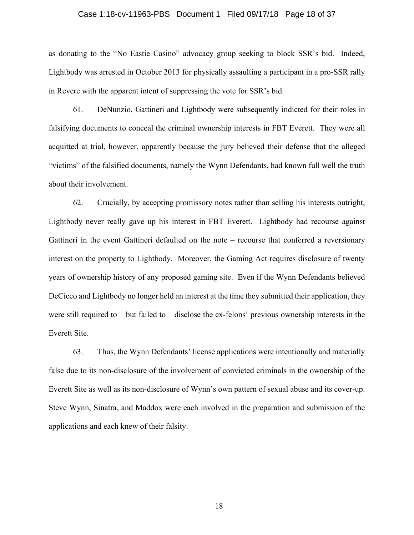## Case 1:18-cv-11963-PBS Document 1 Filed 09/17/18 Page 18 of 37

as donating to the "No Eastie Casino" advocacy group seeking to block SSR's bid. Indeed, Lightbody was arrested in October 2013 for physically assaulting a participant in a pro-SSR rally in Revere with the apparent intent of suppressing the vote for SSR's bid.

61. DeNunzio, Gattineri and Lightbody were subsequently indicted for their roles in falsifying documents to conceal the criminal ownership interests in FBT Everett. They were all acquitted at trial, however, apparently because the jury believed their defense that the alleged "victims" of the falsified documents, namely the Wynn Defendants, had known full well the truth about their involvement.

62. Crucially, by accepting promissory notes rather than selling his interests outright, Lightbody never really gave up his interest in FBT Everett. Lightbody had recourse against Gattineri in the event Gattineri defaulted on the note – recourse that conferred a reversionary interest on the property to Lightbody. Moreover, the Gaming Act requires disclosure of twenty years of ownership history of any proposed gaming site. Even if the Wynn Defendants believed DeCicco and Lightbody no longer held an interest at the time they submitted their application, they were still required to – but failed to – disclose the ex-felons' previous ownership interests in the Everett Site.

63. Thus, the Wynn Defendants' license applications were intentionally and materially false due to its non-disclosure of the involvement of convicted criminals in the ownership of the Everett Site as well as its non-disclosure of Wynn's own pattern of sexual abuse and its cover-up. Steve Wynn, Sinatra, and Maddox were each involved in the preparation and submission of the applications and each knew of their falsity.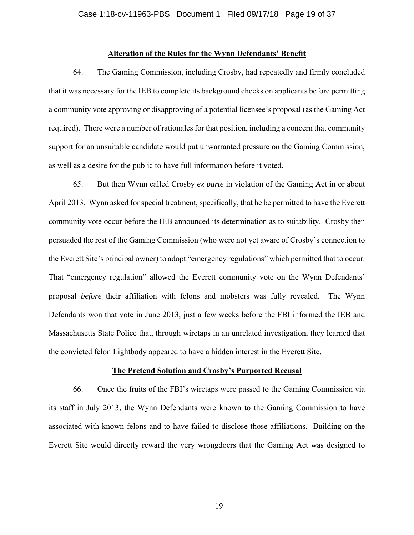#### **Alteration of the Rules for the Wynn Defendants' Benefit**

64. The Gaming Commission, including Crosby, had repeatedly and firmly concluded that it was necessary for the IEB to complete its background checks on applicants before permitting a community vote approving or disapproving of a potential licensee's proposal (as the Gaming Act required). There were a number of rationales for that position, including a concern that community support for an unsuitable candidate would put unwarranted pressure on the Gaming Commission, as well as a desire for the public to have full information before it voted.

65. But then Wynn called Crosby *ex parte* in violation of the Gaming Act in or about April 2013. Wynn asked for special treatment, specifically, that he be permitted to have the Everett community vote occur before the IEB announced its determination as to suitability. Crosby then persuaded the rest of the Gaming Commission (who were not yet aware of Crosby's connection to the Everett Site's principal owner) to adopt "emergency regulations" which permitted that to occur. That "emergency regulation" allowed the Everett community vote on the Wynn Defendants' proposal *before* their affiliation with felons and mobsters was fully revealed. The Wynn Defendants won that vote in June 2013, just a few weeks before the FBI informed the IEB and Massachusetts State Police that, through wiretaps in an unrelated investigation, they learned that the convicted felon Lightbody appeared to have a hidden interest in the Everett Site.

#### **The Pretend Solution and Crosby's Purported Recusal**

66. Once the fruits of the FBI's wiretaps were passed to the Gaming Commission via its staff in July 2013, the Wynn Defendants were known to the Gaming Commission to have associated with known felons and to have failed to disclose those affiliations. Building on the Everett Site would directly reward the very wrongdoers that the Gaming Act was designed to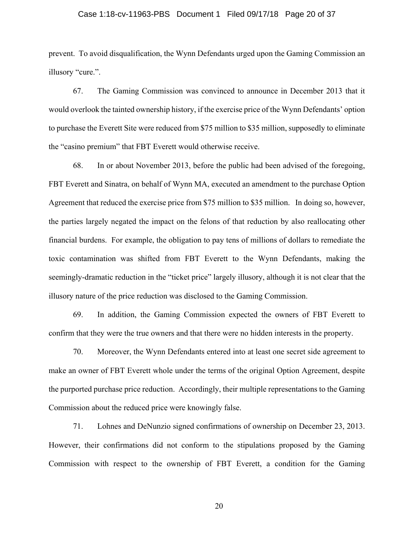## Case 1:18-cv-11963-PBS Document 1 Filed 09/17/18 Page 20 of 37

prevent. To avoid disqualification, the Wynn Defendants urged upon the Gaming Commission an illusory "cure.".

67. The Gaming Commission was convinced to announce in December 2013 that it would overlook the tainted ownership history, if the exercise price of the Wynn Defendants' option to purchase the Everett Site were reduced from \$75 million to \$35 million, supposedly to eliminate the "casino premium" that FBT Everett would otherwise receive.

68. In or about November 2013, before the public had been advised of the foregoing, FBT Everett and Sinatra, on behalf of Wynn MA, executed an amendment to the purchase Option Agreement that reduced the exercise price from \$75 million to \$35 million. In doing so, however, the parties largely negated the impact on the felons of that reduction by also reallocating other financial burdens. For example, the obligation to pay tens of millions of dollars to remediate the toxic contamination was shifted from FBT Everett to the Wynn Defendants, making the seemingly-dramatic reduction in the "ticket price" largely illusory, although it is not clear that the illusory nature of the price reduction was disclosed to the Gaming Commission.

69. In addition, the Gaming Commission expected the owners of FBT Everett to confirm that they were the true owners and that there were no hidden interests in the property.

70. Moreover, the Wynn Defendants entered into at least one secret side agreement to make an owner of FBT Everett whole under the terms of the original Option Agreement, despite the purported purchase price reduction. Accordingly, their multiple representations to the Gaming Commission about the reduced price were knowingly false.

71. Lohnes and DeNunzio signed confirmations of ownership on December 23, 2013. However, their confirmations did not conform to the stipulations proposed by the Gaming Commission with respect to the ownership of FBT Everett, a condition for the Gaming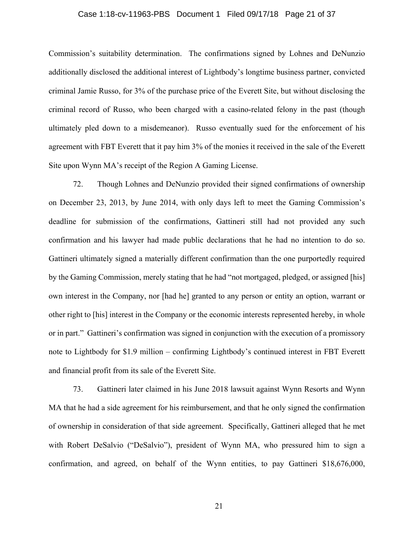## Case 1:18-cv-11963-PBS Document 1 Filed 09/17/18 Page 21 of 37

Commission's suitability determination. The confirmations signed by Lohnes and DeNunzio additionally disclosed the additional interest of Lightbody's longtime business partner, convicted criminal Jamie Russo, for 3% of the purchase price of the Everett Site, but without disclosing the criminal record of Russo, who been charged with a casino-related felony in the past (though ultimately pled down to a misdemeanor). Russo eventually sued for the enforcement of his agreement with FBT Everett that it pay him 3% of the monies it received in the sale of the Everett Site upon Wynn MA's receipt of the Region A Gaming License.

72. Though Lohnes and DeNunzio provided their signed confirmations of ownership on December 23, 2013, by June 2014, with only days left to meet the Gaming Commission's deadline for submission of the confirmations, Gattineri still had not provided any such confirmation and his lawyer had made public declarations that he had no intention to do so. Gattineri ultimately signed a materially different confirmation than the one purportedly required by the Gaming Commission, merely stating that he had "not mortgaged, pledged, or assigned [his] own interest in the Company, nor [had he] granted to any person or entity an option, warrant or other right to [his] interest in the Company or the economic interests represented hereby, in whole or in part." Gattineri's confirmation was signed in conjunction with the execution of a promissory note to Lightbody for \$1.9 million – confirming Lightbody's continued interest in FBT Everett and financial profit from its sale of the Everett Site.

73. Gattineri later claimed in his June 2018 lawsuit against Wynn Resorts and Wynn MA that he had a side agreement for his reimbursement, and that he only signed the confirmation of ownership in consideration of that side agreement. Specifically, Gattineri alleged that he met with Robert DeSalvio ("DeSalvio"), president of Wynn MA, who pressured him to sign a confirmation, and agreed, on behalf of the Wynn entities, to pay Gattineri \$18,676,000,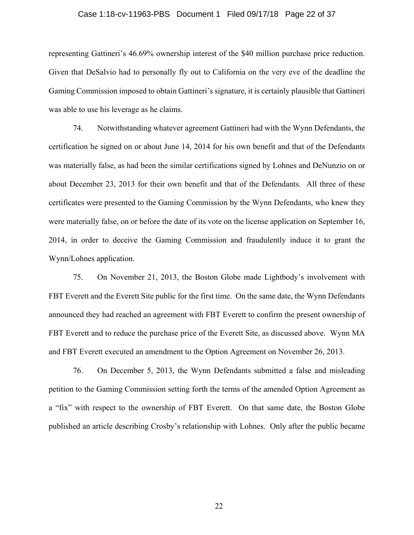## Case 1:18-cv-11963-PBS Document 1 Filed 09/17/18 Page 22 of 37

representing Gattineri's 46.69% ownership interest of the \$40 million purchase price reduction. Given that DeSalvio had to personally fly out to California on the very eve of the deadline the Gaming Commission imposed to obtain Gattineri's signature, it is certainly plausible that Gattineri was able to use his leverage as he claims.

74. Notwithstanding whatever agreement Gattineri had with the Wynn Defendants, the certification he signed on or about June 14, 2014 for his own benefit and that of the Defendants was materially false, as had been the similar certifications signed by Lohnes and DeNunzio on or about December 23, 2013 for their own benefit and that of the Defendants. All three of these certificates were presented to the Gaming Commission by the Wynn Defendants, who knew they were materially false, on or before the date of its vote on the license application on September 16, 2014, in order to deceive the Gaming Commission and fraudulently induce it to grant the Wynn/Lohnes application.

75. On November 21, 2013, the Boston Globe made Lightbody's involvement with FBT Everett and the Everett Site public for the first time. On the same date, the Wynn Defendants announced they had reached an agreement with FBT Everett to confirm the present ownership of FBT Everett and to reduce the purchase price of the Everett Site, as discussed above. Wynn MA and FBT Everett executed an amendment to the Option Agreement on November 26, 2013.

76. On December 5, 2013, the Wynn Defendants submitted a false and misleading petition to the Gaming Commission setting forth the terms of the amended Option Agreement as a "fix" with respect to the ownership of FBT Everett. On that same date, the Boston Globe published an article describing Crosby's relationship with Lohnes. Only after the public became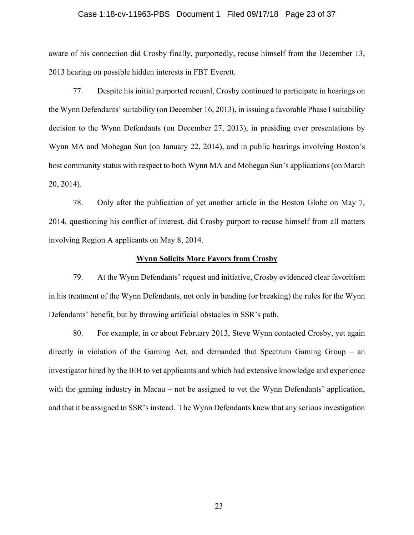## Case 1:18-cv-11963-PBS Document 1 Filed 09/17/18 Page 23 of 37

aware of his connection did Crosby finally, purportedly, recuse himself from the December 13, 2013 hearing on possible hidden interests in FBT Everett.

77. Despite his initial purported recusal, Crosby continued to participate in hearings on the Wynn Defendants' suitability (on December 16, 2013), in issuing a favorable Phase I suitability decision to the Wynn Defendants (on December 27, 2013), in presiding over presentations by Wynn MA and Mohegan Sun (on January 22, 2014), and in public hearings involving Boston's host community status with respect to both Wynn MA and Mohegan Sun's applications (on March 20, 2014).

78. Only after the publication of yet another article in the Boston Globe on May 7, 2014, questioning his conflict of interest, did Crosby purport to recuse himself from all matters involving Region A applicants on May 8, 2014.

### **Wynn Solicits More Favors from Crosby**

79. At the Wynn Defendants' request and initiative, Crosby evidenced clear favoritism in his treatment of the Wynn Defendants, not only in bending (or breaking) the rules for the Wynn Defendants' benefit, but by throwing artificial obstacles in SSR's path.

80. For example, in or about February 2013, Steve Wynn contacted Crosby, yet again directly in violation of the Gaming Act, and demanded that Spectrum Gaming Group – an investigator hired by the IEB to vet applicants and which had extensive knowledge and experience with the gaming industry in Macau – not be assigned to vet the Wynn Defendants' application, and that it be assigned to SSR's instead. The Wynn Defendants knew that any serious investigation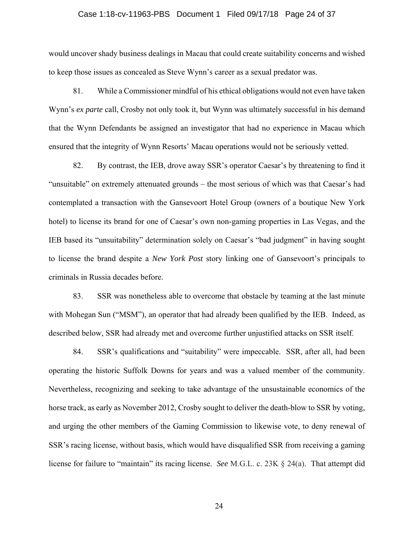## Case 1:18-cv-11963-PBS Document 1 Filed 09/17/18 Page 24 of 37

would uncover shady business dealings in Macau that could create suitability concerns and wished to keep those issues as concealed as Steve Wynn's career as a sexual predator was.

81. While a Commissioner mindful of his ethical obligations would not even have taken Wynn's *ex parte* call, Crosby not only took it, but Wynn was ultimately successful in his demand that the Wynn Defendants be assigned an investigator that had no experience in Macau which ensured that the integrity of Wynn Resorts' Macau operations would not be seriously vetted.

82. By contrast, the IEB, drove away SSR's operator Caesar's by threatening to find it "unsuitable" on extremely attenuated grounds – the most serious of which was that Caesar's had contemplated a transaction with the Gansevoort Hotel Group (owners of a boutique New York hotel) to license its brand for one of Caesar's own non-gaming properties in Las Vegas, and the IEB based its "unsuitability" determination solely on Caesar's "bad judgment" in having sought to license the brand despite a *New York Post* story linking one of Gansevoort's principals to criminals in Russia decades before.

83. SSR was nonetheless able to overcome that obstacle by teaming at the last minute with Mohegan Sun ("MSM"), an operator that had already been qualified by the IEB. Indeed, as described below, SSR had already met and overcome further unjustified attacks on SSR itself.

84. SSR's qualifications and "suitability" were impeccable. SSR, after all, had been operating the historic Suffolk Downs for years and was a valued member of the community. Nevertheless, recognizing and seeking to take advantage of the unsustainable economics of the horse track, as early as November 2012, Crosby sought to deliver the death-blow to SSR by voting, and urging the other members of the Gaming Commission to likewise vote, to deny renewal of SSR's racing license, without basis, which would have disqualified SSR from receiving a gaming license for failure to "maintain" its racing license. *See* M.G.L. c. 23K § 24(a). That attempt did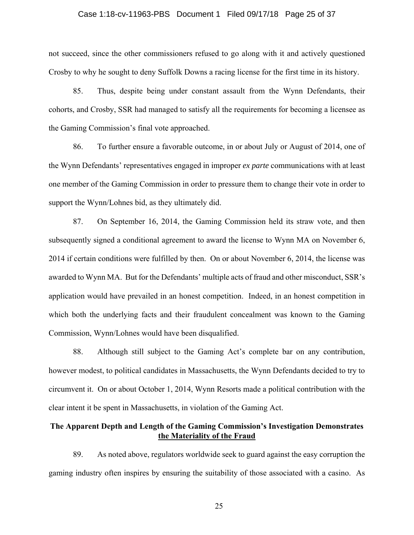## Case 1:18-cv-11963-PBS Document 1 Filed 09/17/18 Page 25 of 37

not succeed, since the other commissioners refused to go along with it and actively questioned Crosby to why he sought to deny Suffolk Downs a racing license for the first time in its history.

85. Thus, despite being under constant assault from the Wynn Defendants, their cohorts, and Crosby, SSR had managed to satisfy all the requirements for becoming a licensee as the Gaming Commission's final vote approached.

86. To further ensure a favorable outcome, in or about July or August of 2014, one of the Wynn Defendants' representatives engaged in improper *ex parte* communications with at least one member of the Gaming Commission in order to pressure them to change their vote in order to support the Wynn/Lohnes bid, as they ultimately did.

87. On September 16, 2014, the Gaming Commission held its straw vote, and then subsequently signed a conditional agreement to award the license to Wynn MA on November 6, 2014 if certain conditions were fulfilled by then. On or about November 6, 2014, the license was awarded to Wynn MA. But for the Defendants' multiple acts of fraud and other misconduct, SSR's application would have prevailed in an honest competition. Indeed, in an honest competition in which both the underlying facts and their fraudulent concealment was known to the Gaming Commission, Wynn/Lohnes would have been disqualified.

88. Although still subject to the Gaming Act's complete bar on any contribution, however modest, to political candidates in Massachusetts, the Wynn Defendants decided to try to circumvent it. On or about October 1, 2014, Wynn Resorts made a political contribution with the clear intent it be spent in Massachusetts, in violation of the Gaming Act.

## **The Apparent Depth and Length of the Gaming Commission's Investigation Demonstrates the Materiality of the Fraud**

89. As noted above, regulators worldwide seek to guard against the easy corruption the gaming industry often inspires by ensuring the suitability of those associated with a casino. As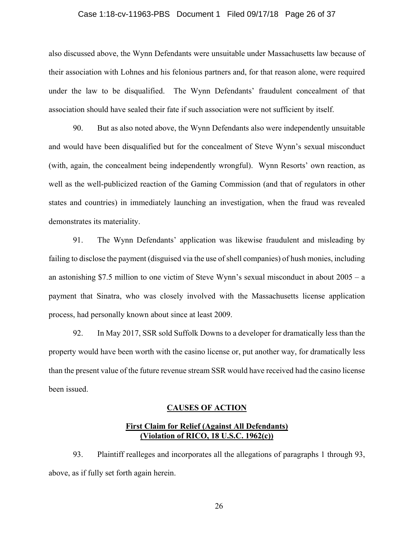## Case 1:18-cv-11963-PBS Document 1 Filed 09/17/18 Page 26 of 37

also discussed above, the Wynn Defendants were unsuitable under Massachusetts law because of their association with Lohnes and his felonious partners and, for that reason alone, were required under the law to be disqualified. The Wynn Defendants' fraudulent concealment of that association should have sealed their fate if such association were not sufficient by itself.

90. But as also noted above, the Wynn Defendants also were independently unsuitable and would have been disqualified but for the concealment of Steve Wynn's sexual misconduct (with, again, the concealment being independently wrongful). Wynn Resorts' own reaction, as well as the well-publicized reaction of the Gaming Commission (and that of regulators in other states and countries) in immediately launching an investigation, when the fraud was revealed demonstrates its materiality.

91. The Wynn Defendants' application was likewise fraudulent and misleading by failing to disclose the payment (disguised via the use of shell companies) of hush monies, including an astonishing \$7.5 million to one victim of Steve Wynn's sexual misconduct in about 2005 – a payment that Sinatra, who was closely involved with the Massachusetts license application process, had personally known about since at least 2009.

92. In May 2017, SSR sold Suffolk Downs to a developer for dramatically less than the property would have been worth with the casino license or, put another way, for dramatically less than the present value of the future revenue stream SSR would have received had the casino license been issued.

### **CAUSES OF ACTION**

## **First Claim for Relief (Against All Defendants) (Violation of RICO, 18 U.S.C. 1962(c))**

93. Plaintiff realleges and incorporates all the allegations of paragraphs 1 through 93, above, as if fully set forth again herein.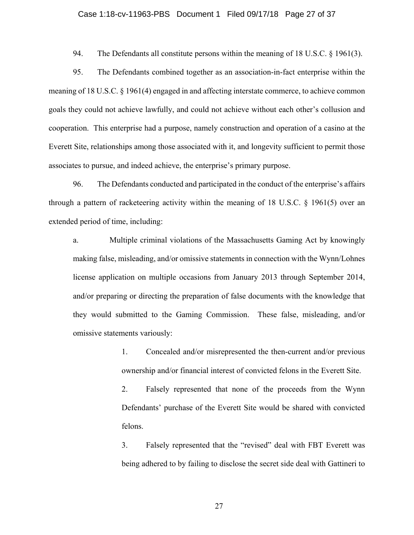## Case 1:18-cv-11963-PBS Document 1 Filed 09/17/18 Page 27 of 37

94. The Defendants all constitute persons within the meaning of 18 U.S.C. § 1961(3).

95. The Defendants combined together as an association-in-fact enterprise within the meaning of 18 U.S.C. § 1961(4) engaged in and affecting interstate commerce, to achieve common goals they could not achieve lawfully, and could not achieve without each other's collusion and cooperation. This enterprise had a purpose, namely construction and operation of a casino at the Everett Site, relationships among those associated with it, and longevity sufficient to permit those associates to pursue, and indeed achieve, the enterprise's primary purpose.

96. The Defendants conducted and participated in the conduct of the enterprise's affairs through a pattern of racketeering activity within the meaning of 18 U.S.C. § 1961(5) over an extended period of time, including:

a. Multiple criminal violations of the Massachusetts Gaming Act by knowingly making false, misleading, and/or omissive statements in connection with the Wynn/Lohnes license application on multiple occasions from January 2013 through September 2014, and/or preparing or directing the preparation of false documents with the knowledge that they would submitted to the Gaming Commission. These false, misleading, and/or omissive statements variously:

> 1. Concealed and/or misrepresented the then-current and/or previous ownership and/or financial interest of convicted felons in the Everett Site.

> 2. Falsely represented that none of the proceeds from the Wynn Defendants' purchase of the Everett Site would be shared with convicted felons.

> 3. Falsely represented that the "revised" deal with FBT Everett was being adhered to by failing to disclose the secret side deal with Gattineri to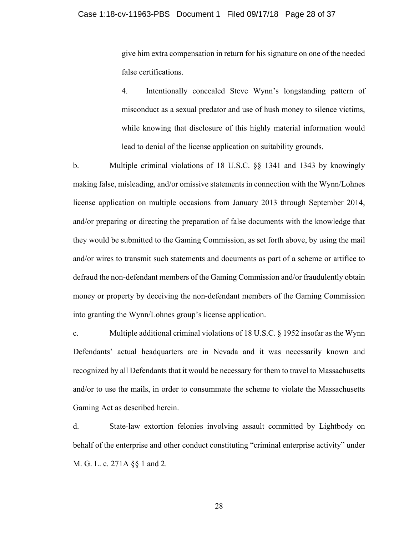give him extra compensation in return for his signature on one of the needed false certifications.

4. Intentionally concealed Steve Wynn's longstanding pattern of misconduct as a sexual predator and use of hush money to silence victims, while knowing that disclosure of this highly material information would lead to denial of the license application on suitability grounds.

b. Multiple criminal violations of 18 U.S.C. §§ 1341 and 1343 by knowingly making false, misleading, and/or omissive statements in connection with the Wynn/Lohnes license application on multiple occasions from January 2013 through September 2014, and/or preparing or directing the preparation of false documents with the knowledge that they would be submitted to the Gaming Commission, as set forth above, by using the mail and/or wires to transmit such statements and documents as part of a scheme or artifice to defraud the non-defendant members of the Gaming Commission and/or fraudulently obtain money or property by deceiving the non-defendant members of the Gaming Commission into granting the Wynn/Lohnes group's license application.

c. Multiple additional criminal violations of 18 U.S.C. § 1952 insofar as the Wynn Defendants' actual headquarters are in Nevada and it was necessarily known and recognized by all Defendants that it would be necessary for them to travel to Massachusetts and/or to use the mails, in order to consummate the scheme to violate the Massachusetts Gaming Act as described herein.

d. State-law extortion felonies involving assault committed by Lightbody on behalf of the enterprise and other conduct constituting "criminal enterprise activity" under M. G. L. c. 271A §§ 1 and 2.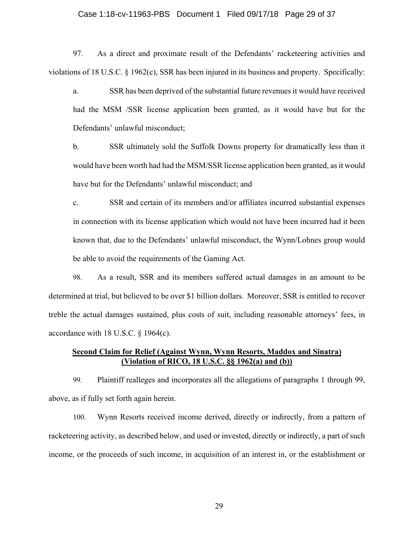## Case 1:18-cv-11963-PBS Document 1 Filed 09/17/18 Page 29 of 37

97. As a direct and proximate result of the Defendants' racketeering activities and violations of 18 U.S.C. § 1962(c), SSR has been injured in its business and property. Specifically:

a. SSR has been deprived of the substantial future revenues it would have received had the MSM /SSR license application been granted, as it would have but for the Defendants' unlawful misconduct;

b. SSR ultimately sold the Suffolk Downs property for dramatically less than it would have been worth had had the MSM/SSR license application been granted, as it would have but for the Defendants' unlawful misconduct; and

c. SSR and certain of its members and/or affiliates incurred substantial expenses in connection with its license application which would not have been incurred had it been known that, due to the Defendants' unlawful misconduct, the Wynn/Lohnes group would be able to avoid the requirements of the Gaming Act.

98. As a result, SSR and its members suffered actual damages in an amount to be determined at trial, but believed to be over \$1 billion dollars. Moreover, SSR is entitled to recover treble the actual damages sustained, plus costs of suit, including reasonable attorneys' fees, in accordance with 18 U.S.C. § 1964(c).

## **Second Claim for Relief (Against Wynn, Wynn Resorts, Maddox and Sinatra) (Violation of RICO, 18 U.S.C. §§ 1962(a) and (b))**

99. Plaintiff realleges and incorporates all the allegations of paragraphs 1 through 99, above, as if fully set forth again herein.

100. Wynn Resorts received income derived, directly or indirectly, from a pattern of racketeering activity, as described below, and used or invested, directly or indirectly, a part of such income, or the proceeds of such income, in acquisition of an interest in, or the establishment or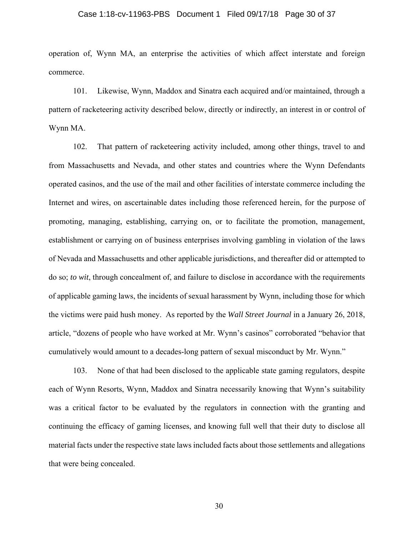## Case 1:18-cv-11963-PBS Document 1 Filed 09/17/18 Page 30 of 37

operation of, Wynn MA, an enterprise the activities of which affect interstate and foreign commerce.

101. Likewise, Wynn, Maddox and Sinatra each acquired and/or maintained, through a pattern of racketeering activity described below, directly or indirectly, an interest in or control of Wynn MA.

102. That pattern of racketeering activity included, among other things, travel to and from Massachusetts and Nevada, and other states and countries where the Wynn Defendants operated casinos, and the use of the mail and other facilities of interstate commerce including the Internet and wires, on ascertainable dates including those referenced herein, for the purpose of promoting, managing, establishing, carrying on, or to facilitate the promotion, management, establishment or carrying on of business enterprises involving gambling in violation of the laws of Nevada and Massachusetts and other applicable jurisdictions, and thereafter did or attempted to do so; *to wit*, through concealment of, and failure to disclose in accordance with the requirements of applicable gaming laws, the incidents of sexual harassment by Wynn, including those for which the victims were paid hush money. As reported by the *Wall Street Journal* in a January 26, 2018, article, "dozens of people who have worked at Mr. Wynn's casinos" corroborated "behavior that cumulatively would amount to a decades-long pattern of sexual misconduct by Mr. Wynn."

103. None of that had been disclosed to the applicable state gaming regulators, despite each of Wynn Resorts, Wynn, Maddox and Sinatra necessarily knowing that Wynn's suitability was a critical factor to be evaluated by the regulators in connection with the granting and continuing the efficacy of gaming licenses, and knowing full well that their duty to disclose all material facts under the respective state laws included facts about those settlements and allegations that were being concealed.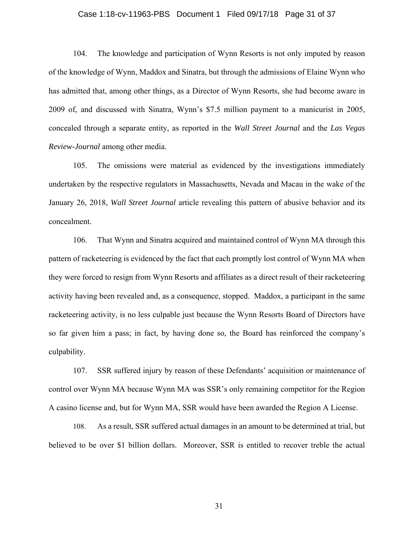## Case 1:18-cv-11963-PBS Document 1 Filed 09/17/18 Page 31 of 37

104. The knowledge and participation of Wynn Resorts is not only imputed by reason of the knowledge of Wynn, Maddox and Sinatra, but through the admissions of Elaine Wynn who has admitted that, among other things, as a Director of Wynn Resorts, she had become aware in 2009 of, and discussed with Sinatra, Wynn's \$7.5 million payment to a manicurist in 2005, concealed through a separate entity, as reported in the *Wall Street Journal* and the *Las Vegas Review-Journal* among other media.

105. The omissions were material as evidenced by the investigations immediately undertaken by the respective regulators in Massachusetts, Nevada and Macau in the wake of the January 26, 2018, *Wall Street Journal* article revealing this pattern of abusive behavior and its concealment.

106. That Wynn and Sinatra acquired and maintained control of Wynn MA through this pattern of racketeering is evidenced by the fact that each promptly lost control of Wynn MA when they were forced to resign from Wynn Resorts and affiliates as a direct result of their racketeering activity having been revealed and, as a consequence, stopped. Maddox, a participant in the same racketeering activity, is no less culpable just because the Wynn Resorts Board of Directors have so far given him a pass; in fact, by having done so, the Board has reinforced the company's culpability.

107. SSR suffered injury by reason of these Defendants' acquisition or maintenance of control over Wynn MA because Wynn MA was SSR's only remaining competitor for the Region A casino license and, but for Wynn MA, SSR would have been awarded the Region A License.

108. As a result, SSR suffered actual damages in an amount to be determined at trial, but believed to be over \$1 billion dollars. Moreover, SSR is entitled to recover treble the actual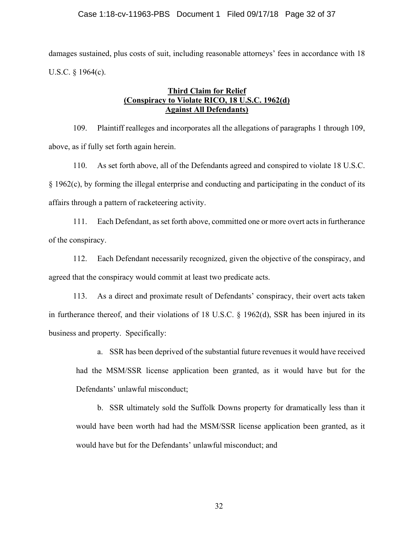## Case 1:18-cv-11963-PBS Document 1 Filed 09/17/18 Page 32 of 37

damages sustained, plus costs of suit, including reasonable attorneys' fees in accordance with 18 U.S.C. § 1964(c).

## **Third Claim for Relief (Conspiracy to Violate RICO, 18 U.S.C. 1962(d) Against All Defendants)**

109. Plaintiff realleges and incorporates all the allegations of paragraphs 1 through 109, above, as if fully set forth again herein.

110. As set forth above, all of the Defendants agreed and conspired to violate 18 U.S.C. § 1962(c), by forming the illegal enterprise and conducting and participating in the conduct of its affairs through a pattern of racketeering activity.

111. Each Defendant, as set forth above, committed one or more overt acts in furtherance of the conspiracy.

112. Each Defendant necessarily recognized, given the objective of the conspiracy, and agreed that the conspiracy would commit at least two predicate acts.

113. As a direct and proximate result of Defendants' conspiracy, their overt acts taken in furtherance thereof, and their violations of 18 U.S.C. § 1962(d), SSR has been injured in its business and property. Specifically:

a. SSR has been deprived of the substantial future revenues it would have received had the MSM/SSR license application been granted, as it would have but for the Defendants' unlawful misconduct;

b. SSR ultimately sold the Suffolk Downs property for dramatically less than it would have been worth had had the MSM/SSR license application been granted, as it would have but for the Defendants' unlawful misconduct; and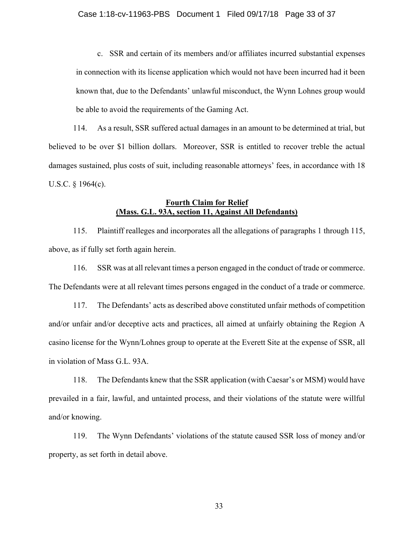c. SSR and certain of its members and/or affiliates incurred substantial expenses in connection with its license application which would not have been incurred had it been known that, due to the Defendants' unlawful misconduct, the Wynn Lohnes group would be able to avoid the requirements of the Gaming Act.

114. As a result, SSR suffered actual damages in an amount to be determined at trial, but believed to be over \$1 billion dollars. Moreover, SSR is entitled to recover treble the actual damages sustained, plus costs of suit, including reasonable attorneys' fees, in accordance with 18 U.S.C. § 1964(c).

## **Fourth Claim for Relief (Mass. G.L. 93A, section 11, Against All Defendants)**

115. Plaintiff realleges and incorporates all the allegations of paragraphs 1 through 115, above, as if fully set forth again herein.

116. SSR was at all relevant times a person engaged in the conduct of trade or commerce. The Defendants were at all relevant times persons engaged in the conduct of a trade or commerce.

117. The Defendants' acts as described above constituted unfair methods of competition and/or unfair and/or deceptive acts and practices, all aimed at unfairly obtaining the Region A casino license for the Wynn/Lohnes group to operate at the Everett Site at the expense of SSR, all in violation of Mass G.L. 93A.

118. The Defendants knew that the SSR application (with Caesar's or MSM) would have prevailed in a fair, lawful, and untainted process, and their violations of the statute were willful and/or knowing.

119. The Wynn Defendants' violations of the statute caused SSR loss of money and/or property, as set forth in detail above.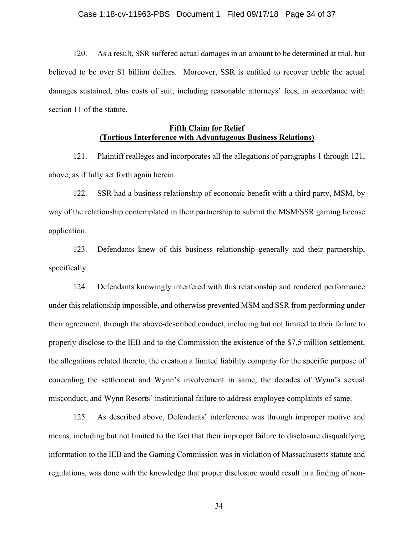120. As a result, SSR suffered actual damages in an amount to be determined at trial, but believed to be over \$1 billion dollars. Moreover, SSR is entitled to recover treble the actual damages sustained, plus costs of suit, including reasonable attorneys' fees, in accordance with section 11 of the statute.

# **Fifth Claim for Relief (Tortious Interference with Advantageous Business Relations)**

121. Plaintiff realleges and incorporates all the allegations of paragraphs 1 through 121, above, as if fully set forth again herein.

122. SSR had a business relationship of economic benefit with a third party, MSM, by way of the relationship contemplated in their partnership to submit the MSM/SSR gaming license application.

123. Defendants knew of this business relationship generally and their partnership, specifically.

124. Defendants knowingly interfered with this relationship and rendered performance under this relationship impossible, and otherwise prevented MSM and SSR from performing under their agreement, through the above-described conduct, including but not limited to their failure to properly disclose to the IEB and to the Commission the existence of the \$7.5 million settlement, the allegations related thereto, the creation a limited liability company for the specific purpose of concealing the settlement and Wynn's involvement in same, the decades of Wynn's sexual misconduct, and Wynn Resorts' institutional failure to address employee complaints of same.

125. As described above, Defendants' interference was through improper motive and means, including but not limited to the fact that their improper failure to disclosure disqualifying information to the IEB and the Gaming Commission was in violation of Massachusetts statute and regulations, was done with the knowledge that proper disclosure would result in a finding of non-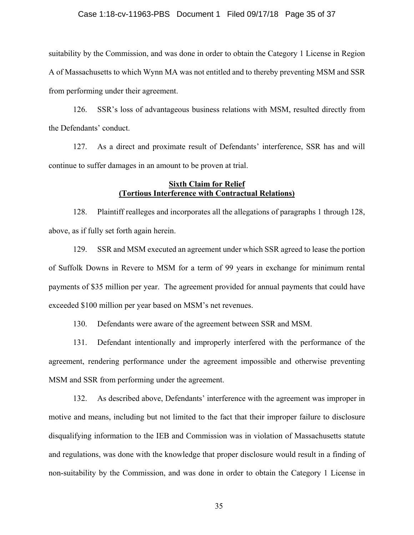## Case 1:18-cv-11963-PBS Document 1 Filed 09/17/18 Page 35 of 37

suitability by the Commission, and was done in order to obtain the Category 1 License in Region A of Massachusetts to which Wynn MA was not entitled and to thereby preventing MSM and SSR from performing under their agreement.

126. SSR's loss of advantageous business relations with MSM, resulted directly from the Defendants' conduct.

127. As a direct and proximate result of Defendants' interference, SSR has and will continue to suffer damages in an amount to be proven at trial.

## **Sixth Claim for Relief (Tortious Interference with Contractual Relations)**

128. Plaintiff realleges and incorporates all the allegations of paragraphs 1 through 128, above, as if fully set forth again herein.

129. SSR and MSM executed an agreement under which SSR agreed to lease the portion of Suffolk Downs in Revere to MSM for a term of 99 years in exchange for minimum rental payments of \$35 million per year. The agreement provided for annual payments that could have exceeded \$100 million per year based on MSM's net revenues.

130. Defendants were aware of the agreement between SSR and MSM.

131. Defendant intentionally and improperly interfered with the performance of the agreement, rendering performance under the agreement impossible and otherwise preventing MSM and SSR from performing under the agreement.

132. As described above, Defendants' interference with the agreement was improper in motive and means, including but not limited to the fact that their improper failure to disclosure disqualifying information to the IEB and Commission was in violation of Massachusetts statute and regulations, was done with the knowledge that proper disclosure would result in a finding of non-suitability by the Commission, and was done in order to obtain the Category 1 License in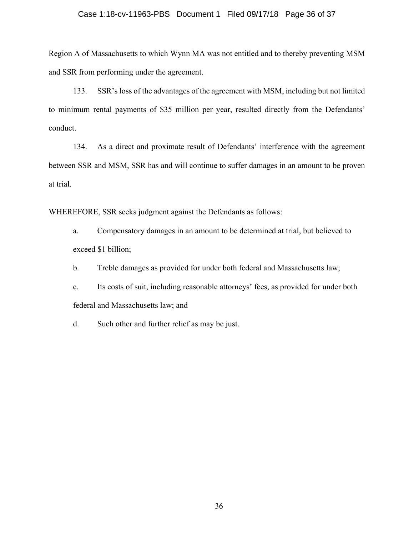## Case 1:18-cv-11963-PBS Document 1 Filed 09/17/18 Page 36 of 37

Region A of Massachusetts to which Wynn MA was not entitled and to thereby preventing MSM and SSR from performing under the agreement.

133. SSR's loss of the advantages of the agreement with MSM, including but not limited to minimum rental payments of \$35 million per year, resulted directly from the Defendants' conduct.

134. As a direct and proximate result of Defendants' interference with the agreement between SSR and MSM, SSR has and will continue to suffer damages in an amount to be proven at trial.

WHEREFORE, SSR seeks judgment against the Defendants as follows:

a. Compensatory damages in an amount to be determined at trial, but believed to exceed \$1 billion;

- b. Treble damages as provided for under both federal and Massachusetts law;
- c. Its costs of suit, including reasonable attorneys' fees, as provided for under both federal and Massachusetts law; and

d. Such other and further relief as may be just.